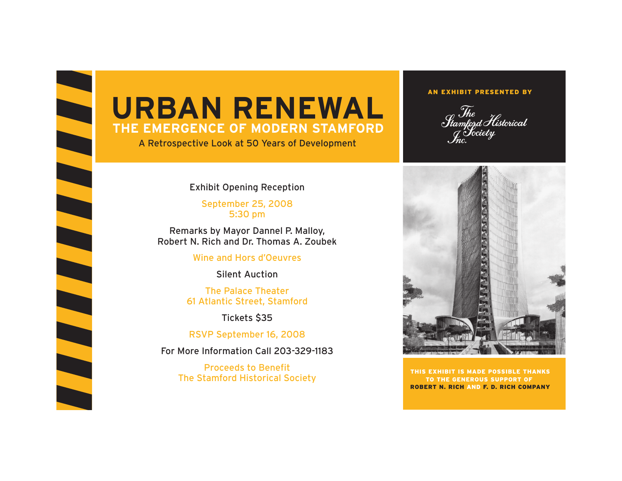

## **URBAN RENEWALTHE EMERGENCE OF MODERN STAMFORD**

A Retrospective Look at 50 Years of Development

## Exhibit Opening Reception

September 25, 2008 5:30 pm

Remarks by Mayor Dannel P. Malloy, Robert N. Rich and Dr. Thomas A. Zoubek

Wine and Hors d'Oeuvres

Silent Auction

The Palace Theater61 Atlantic Street, Stamford

Tickets \$35

RSVP September 16, 2008

For More Information Call 203-329-1183

Proceeds to BenefitThe Stamford Historical Society

## AN EXHIBIT PRESENTED BY

 $\mathcal{S}_{tamford}$  Historical tamford I U<br><sub>J</sub> Society<br>Inc.



THIS EXHIBIT IS MADE POSSIBLE THANKSTO THE GENEROUS SUPPORT OF ROBERT N. RICH AND F. D. RICH COMPANY